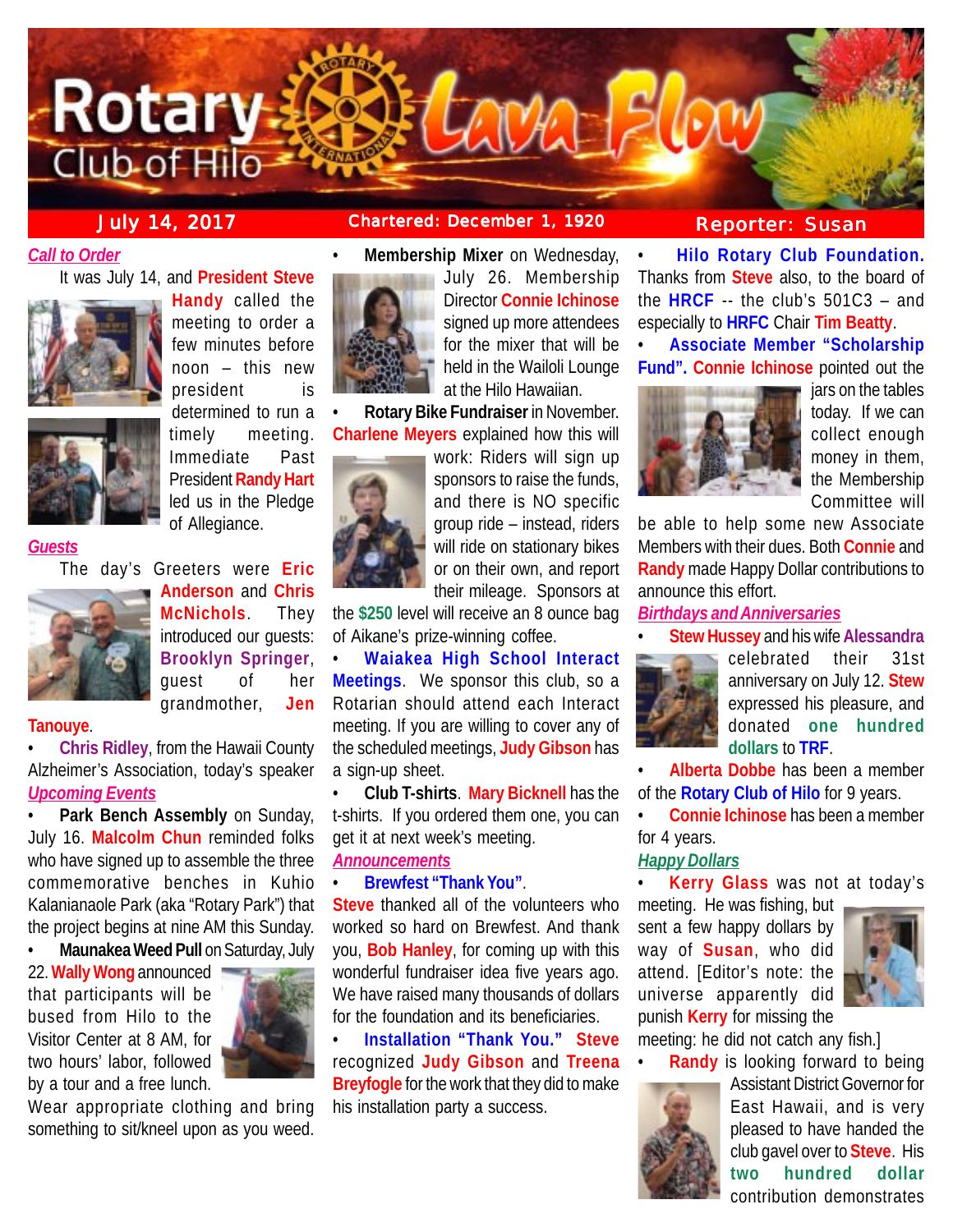

*Call to Order*

It was July 14, and **President Steve**



**Handy** called the meeting to order a few minutes before noon – this new president is determined to run a timely meeting. Immediate Past President **Randy Hart** led us in the Pledge of Allegiance.

*Guests*

The day's Greeters were **Eric**



**Anderson** and **Chris McNichols**. They introduced our guests: **Brooklyn Springer**, guest of her grandmother, **Jen**

# **Tanouye**.

• **Chris Ridley**, from the Hawaii County Alzheimer's Association, today's speaker *Upcoming Events*

• **Park Bench Assembly** on Sunday, July 16. **Malcolm Chun** reminded folks who have signed up to assemble the three commemorative benches in Kuhio Kalanianaole Park (aka "Rotary Park") that the project begins at nine AM this Sunday.

• **Maunakea Weed Pull** on Saturday, July

22. **Wally Wong** announced that participants will be bused from Hilo to the Visitor Center at 8 AM, for two hours' labor, followed by a tour and a free lunch.



Wear appropriate clothing and bring something to sit/kneel upon as you weed.



• **Membership Mixer** on Wednesday,

July 26. Membership Director **Connie Ichinose** signed up more attendees for the mixer that will be held in the Wailoli Lounge at the Hilo Hawaiian.

• **Rotary Bike Fundraiser** in November. **Charlene Meyers** explained how this will



work: Riders will sign up sponsors to raise the funds, and there is NO specific group ride – instead, riders will ride on stationary bikes or on their own, and report their mileage. Sponsors at

the **\$250** level will receive an 8 ounce bag of Aikane's prize-winning coffee.

• **Waiakea High School Interact Meetings**. We sponsor this club, so a Rotarian should attend each Interact meeting. If you are willing to cover any of the scheduled meetings, **Judy Gibson** has a sign-up sheet.

• **Club T-shirts**. **Mary Bicknell** has the t-shirts. If you ordered them one, you can get it at next week's meeting. *Announcements*

# • **Brewfest "Thank You"**.

**Steve** thanked all of the volunteers who worked so hard on Brewfest. And thank you, **Bob Hanley**, for coming up with this wonderful fundraiser idea five years ago. We have raised many thousands of dollars for the foundation and its beneficiaries.

• **Installation "Thank You." Steve** recognized **Judy Gibson** and **Treena Breyfogle** for the work that they did to make his installation party a success.

# **July 14, 2017 Chartered: December 1, 1920 Reporter: Susan**

• **Hilo Rotary Club Foundation.** Thanks from **Steve** also, to the board of the **HRCF** -- the club's 501C3 – and especially to **HRFC** Chair **Tim Beatty**.

• **Associate Member "Scholarship Fund". Connie Ichinose** pointed out the



jars on the tables today. If we can collect enough money in them, the Membership Committee will

be able to help some new Associate Members with their dues. Both **Connie** and **Randy** made Happy Dollar contributions to announce this effort.

## *Birthdays and Anniversaries*

• **Stew Hussey** and his wife **Alessandra**



celebrated their 31st anniversary on July 12. **Stew** expressed his pleasure, and donated **one hundred dollars** to **TRF**.

• **Alberta Dobbe** has been a member of the **Rotary Club of Hilo** for 9 years.

• **Connie Ichinose** has been a member for 4 years.

# *Happy Dollars*

• **Kerry Glass** was not at today's

meeting. He was fishing, but sent a few happy dollars by way of **Susan**, who did attend. [Editor's note: the universe apparently did punish **Kerry** for missing the



meeting: he did not catch any fish.]



**Randy** is looking forward to being Assistant District Governor for East Hawaii, and is very pleased to have handed the club gavel over to **Steve**. His **two hundred dollar** contribution demonstrates